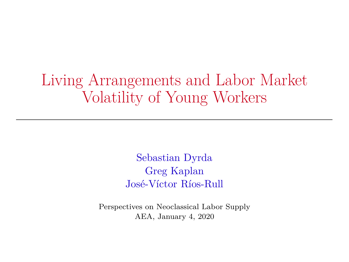Living Arrangements and Labor Market Volatility of Young Workers

> Sebastian Dyrda Greg Kaplan José-Víctor Ríos-Rull

Perspectives on Neoclassical Labor Supply AEA, January 4, 2020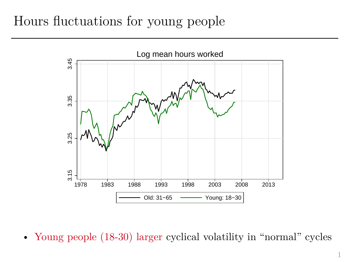## Hours fluctuations for young people



• Young people (18-30) larger cyclical volatility in "normal" cycles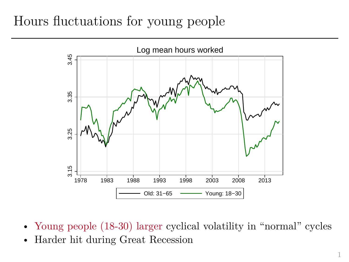## Hours fluctuations for young people



- Young people (18-30) larger cyclical volatility in "normal" cycles
- Harder hit during Great Recession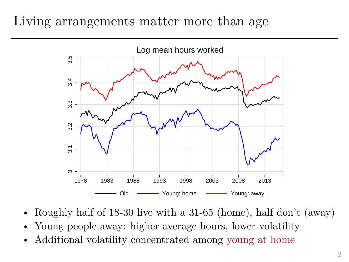## Living arrangements matter more than age



- Roughly half of 18-30 live with a 31-65 (home), half don't (away)
- Young people away: higher average hours, lower volatility
- Additional volatility concentrated among young at home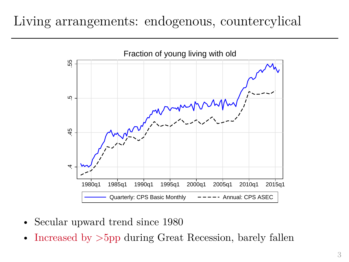## Living arrangements: endogenous, countercylical



- Secular upward trend since 1980
- Increased by  $>5$ pp during Great Recession, barely fallen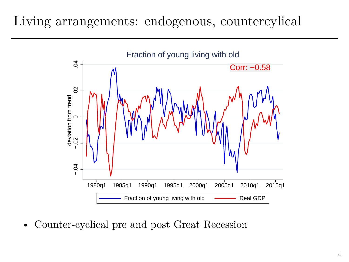## Living arrangements: endogenous, countercylical



• Counter-cyclical pre and post Great Recession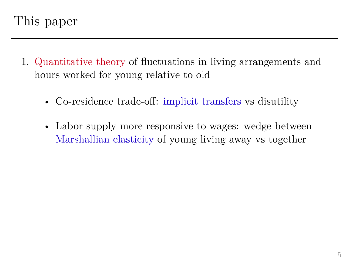- 1. Quantitative theory of fluctuations in living arrangements and hours worked for young relative to old
	- Co-residence trade-off: implicit transfers vs disutility
	- Labor supply more responsive to wages: wedge between Marshallian elasticity of young living away vs together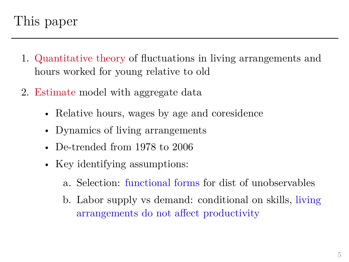- 1. Quantitative theory of fluctuations in living arrangements and hours worked for young relative to old
- 2. Estimate model with aggregate data
	- Relative hours, wages by age and coresidence
	- Dynamics of living arrangements
	- De-trended from 1978 to 2006
	- Key identifying assumptions:
		- a. Selection: functional forms for dist of unobservables
		- b. Labor supply vs demand: conditional on skills, living arrangements do not affect productivity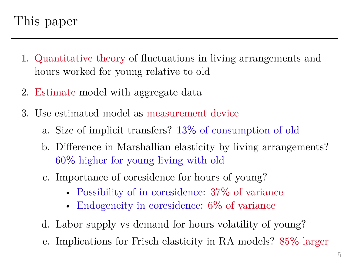- 1. Quantitative theory of fluctuations in living arrangements and hours worked for young relative to old
- 2. Estimate model with aggregate data
- 3. Use estimated model as measurement device
	- a. Size of implicit transfers? 13% of consumption of old
	- b. Difference in Marshallian elasticity by living arrangements? 60% higher for young living with old
	- c. Importance of coresidence for hours of young?
		- Possibility of in coresidence: 37% of variance
		- Endogeneity in coresidence: 6% of variance
	- d. Labor supply vs demand for hours volatility of young?
	- e. Implications for Frisch elasticity in RA models? 85% larger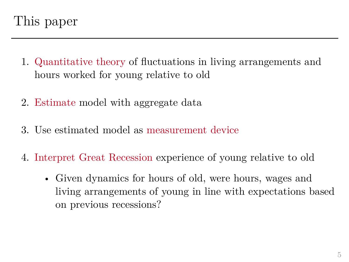- 1. Quantitative theory of fluctuations in living arrangements and hours worked for young relative to old
- 2. Estimate model with aggregate data
- 3. Use estimated model as measurement device
- 4. Interpret Great Recession experience of young relative to old
	- Given dynamics for hours of old, were hours, wages and living arrangements of young in line with expectations based on previous recessions?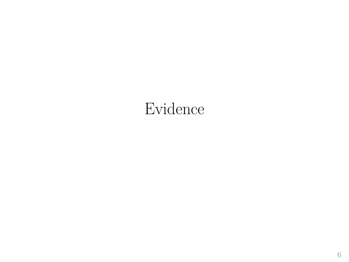# Evidence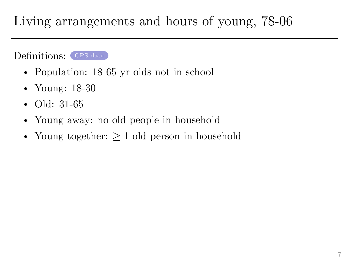- 
- <span id="page-11-0"></span>• Population: 18-65 yr olds not in school
- Young: 18-30
- Old: 31-65
- Young away: no old people in household
- Young together:  $> 1$  old person in household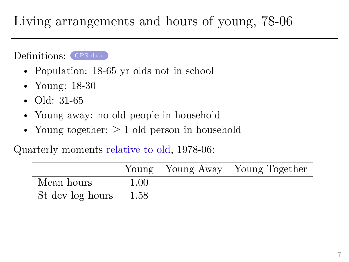- Population: 18-65 yr olds not in school
- Young: 18-30
- Old: 31-65
- Young away: no old people in household
- Young together:  $> 1$  old person in household

Quarterly moments relative to old, 1978-06:

|                  |      | Young Young Away Young Together |
|------------------|------|---------------------------------|
| Mean hours       | 1.00 |                                 |
| St dev log hours | 1.58 |                                 |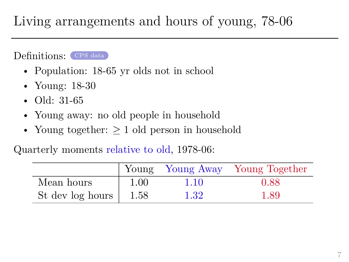- Population: 18-65 yr olds not in school
- Young: 18-30
- Old: 31-65
- Young away: no old people in household
- Young together:  $> 1$  old person in household

Quarterly moments relative to old, 1978-06:

|                  |      |      | Young Young Away Young Together |
|------------------|------|------|---------------------------------|
| Mean hours       | 1.00 | 1.10 | 0.88                            |
| St dev log hours | 1.58 | 1.32 | 1.89                            |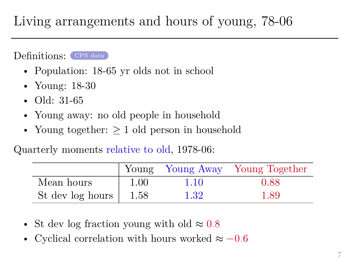- Population: 18-65 yr olds not in school
- Young: 18-30
- Old: 31-65
- Young away: no old people in household
- Young together:  $> 1$  old person in household

Quarterly moments relative to old, 1978-06:

|                  |      |      | Young Young Away Young Together |
|------------------|------|------|---------------------------------|
| Mean hours       | 1.00 | 1.10 | 0.88                            |
| St dev log hours | 1.58 | 1.32 | 1.89                            |

- St dev log fraction young with old  $\approx 0.8$
- Cyclical correlation with hours worked  $\approx -0.6$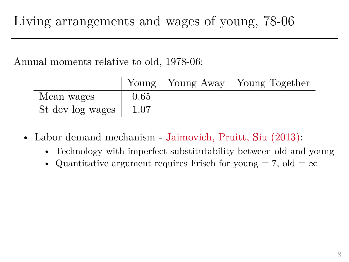Annual moments relative to old, 1978-06:

|                  |      | Young Young Away Young Together |
|------------------|------|---------------------------------|
| Mean wages       | 0.65 |                                 |
| St dev log wages | 1.07 |                                 |

- Labor demand mechanism Jaimovich, Pruitt, Siu (2013):
	- Technology with imperfect substitutability between old and young
	- Quantitative argument requires Frisch for young  $= 7$ , old  $= \infty$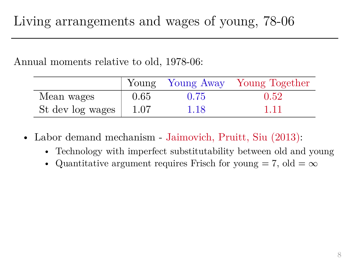Annual moments relative to old, 1978-06:

|                  |      |      | Young Young Away Young Together |
|------------------|------|------|---------------------------------|
| Mean wages       | 0.65 | 0.75 | 0.52                            |
| St dev log wages | 1.07 | 1.18 | 1 1 1                           |

- Labor demand mechanism Jaimovich, Pruitt, Siu (2013):
	- Technology with imperfect substitutability between old and young
	- Quantitative argument requires Frisch for young = 7, old =  $\infty$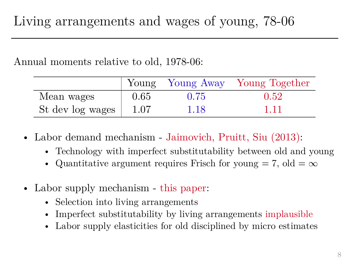Annual moments relative to old, 1978-06:

|                  |      |      | Young Young Away Young Together |
|------------------|------|------|---------------------------------|
| Mean wages       | 0.65 | 0.75 | 0.52                            |
| St dev log wages | 1.07 | 1.18 | 1 1 1                           |

- Labor demand mechanism Jaimovich, Pruitt, Siu (2013):
	- Technology with imperfect substitutability between old and young
	- Quantitative argument requires Frisch for young  $= 7$ , old  $= \infty$
- Labor supply mechanism this paper:
	- Selection into living arrangements
	- Imperfect substitutability by living arrangements implausible
	- Labor supply elasticities for old disciplined by micro estimates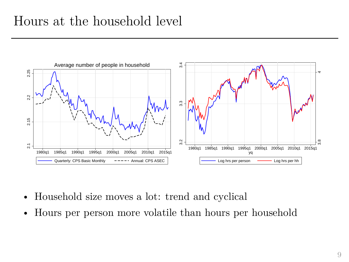

- Household size moves a lot: trend and cyclical
- Hours per person more volatile than hours per household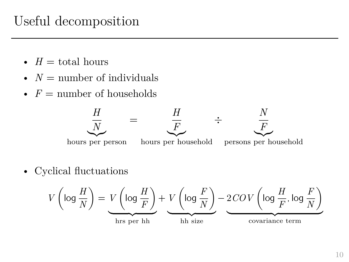## Useful decomposition

- $H =$  total hours
- $N =$  number of individuals
- $F =$  number of households



• Cyclical fluctuations

$$
V\left(\log\frac{H}{N}\right) = \underbrace{V\left(\log\frac{H}{F}\right)}_{\text{hrs per hh}} + \underbrace{V\left(\log\frac{F}{N}\right)}_{\text{hh size}} - \underbrace{2COV\left(\log\frac{H}{F},\log\frac{F}{N}\right)}_{\text{covariance term}}
$$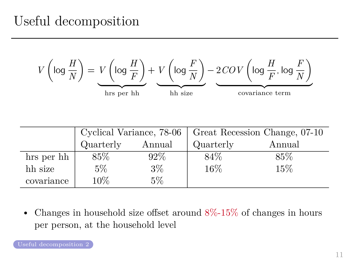<span id="page-20-0"></span>
$$
V\left(\log\frac{H}{N}\right)=\underbrace{V\left(\log\frac{H}{F}\right)}_{\text{hrs per hh}}+\underbrace{V\left(\log\frac{F}{N}\right)}_{\text{hh size}}-2\text{COV}\left(\log\frac{H}{F},\log\frac{F}{N}\right)_{\text{covariance term}}
$$

|            | Cyclical Variance, 78-06 |       | Great Recession Change, 07-10 |        |  |
|------------|--------------------------|-------|-------------------------------|--------|--|
|            | Quarterly<br>Annual      |       | Quarterly                     | Annual |  |
| hrs per hh | 85%                      | 92\%  | 84\%                          | 85\%   |  |
| hh size    | 5%                       | $3\%$ | 16%                           | 15%    |  |
| covariance | $10\%$                   | 5%    |                               |        |  |

• Changes in household size offset around  $8\%$ -15% of changes in hours per person, at the household level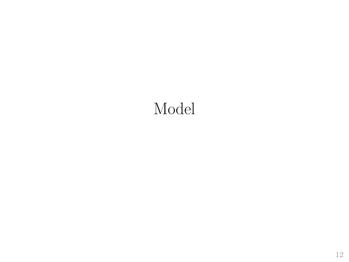# Model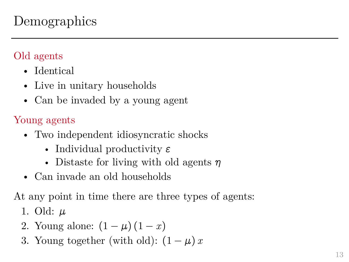#### Old agents

- Identical
- Live in unitary households
- Can be invaded by a young agent

### Young agents

- Two independent idiosyncratic shocks
	- Individual productivity  $\varepsilon$
	- Distaste for living with old agents  $\eta$
- Can invade an old households

At any point in time there are three types of agents:

- 1. Old:  $\mu$
- 2. Young alone:  $(1 \mu) (1 x)$
- 3. Young together (with old):  $(1 \mu) x$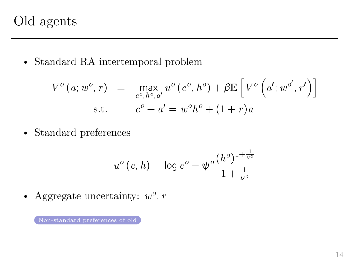## Old agents

<span id="page-23-0"></span>• Standard RA intertemporal problem

$$
V^{o}(a; w^{o}, r) = \max_{c^{o}, h^{o}, a'} u^{o}(c^{o}, h^{o}) + \beta \mathbb{E} \left[ V^{o}(a'; w^{o'}, r') \right]
$$
  
s.t. 
$$
c^{o} + a' = w^{o} h^{o} + (1 + r)a
$$

• Standard preferences

$$
u^{o}(c, h) = \log c^{o} - \psi^{o} \frac{(h^{o})^{1 + \frac{1}{\nu^{o}}}}{1 + \frac{1}{\nu^{o}}}
$$

• Aggregate uncertainty:  $w^o$ ,  $r$ 

[Non-standard preferences of old](#page-55-0)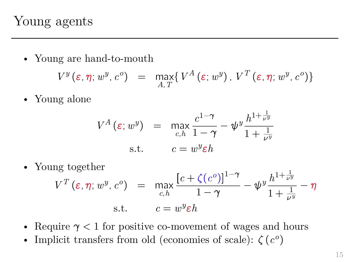## Young agents

• Young are hand-to-mouth

$$
V^y\left(\varepsilon,\eta;w^y,c^o\right) = \max_{A,T}\{V^A\left(\varepsilon;w^y\right),\,V^T\left(\varepsilon,\eta;w^y,c^o\right)\}
$$

• Young alone

$$
V^{A}(\varepsilon; w^{y}) = \max_{c,h} \frac{c^{1-\gamma}}{1-\gamma} - \psi^{y} \frac{h^{1+\frac{1}{\nu^{y}}}}{1+\frac{1}{\nu^{y}}}
$$
  
s.t. 
$$
c = w^{y} \varepsilon h
$$

- Young together  $V^T(\varepsilon, \eta, w^y, c^o) = \max_{c,h}$  $[c + \zeta(c^o)]^{1-\gamma}$  $\frac{\zeta(c^o)^{1-\gamma}}{1-\gamma}-\psi^y\frac{h^{1+\frac{1}{\nu^y}}}{1+\frac{1}{\nu^y}}$  $1 + \frac{1}{n!}$  $\overline{v^y}$  $\eta$ s.t.  $c = w^y \varepsilon h$
- Require  $\gamma < 1$  for positive co-movement of wages and hours
- Implicit transfers from old (economies of scale):  $\zeta(c^o)$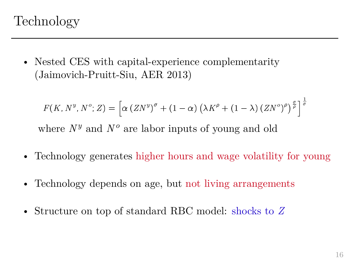## Technology

• Nested CES with capital-experience complementarity (Jaimovich-Pruitt-Siu, AER 2013)<br>  $F(K, N^y, N^o; Z) = \left[\alpha (ZN^y)^{\sigma} + (1 - \alpha)\right]$  $\int^{\rho} + (1 - \lambda) (ZN^{\circ})$ 

$$
F(K, N^y, N^o; Z) = \left[ \alpha \left( Z N^y \right)^{\sigma} + (1 - \alpha) \left( \lambda K^{\rho} + (1 - \lambda) \left( Z N^o \right)^{\rho} \right)^{\frac{\sigma}{\rho}} \right]^{\frac{1}{\sigma}}
$$

where *N<sup>y</sup>* and *N<sup>o</sup>* are labor inputs of young and old

- Technology generates higher hours and wage volatility for young
- Technology depends on age, but not living arrangements
- Structure on top of standard RBC model: shocks to *Z*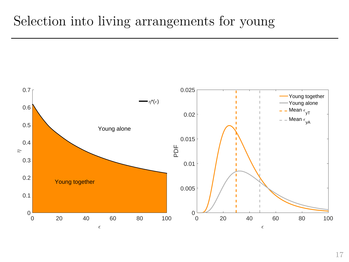## Selection into living arrangements for young

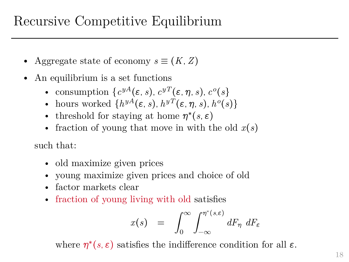## Recursive Competitive Equilibrium

- Aggregate state of economy  $s \equiv (K, Z)$
- An equilibrium is a set functions
	- consumption  $\{c^{yA}(\varepsilon, s), c^{yT}(\varepsilon, \eta, s), c^o(s)\}$
	- hours worked  $\{h^{yA}(\varepsilon, s), h^{yT}(\varepsilon, \eta, s), h^{o}(s)\}$
	- threshold for staying at home  $\eta^*(s, \varepsilon)$
	- fraction of young that move in with the old  $x(s)$

such that:

- old maximize given prices
- young maximize given prices and choice of old
- factor markets clear
- fraction of young living with old satisfies

$$
x(s) = \int_0^\infty \int_{-\infty}^{\eta^*(s,\varepsilon)} dF_\eta \ dF_\varepsilon
$$

where  $\eta^*(s, \varepsilon)$  satisfies the indifference condition for all  $\varepsilon$ .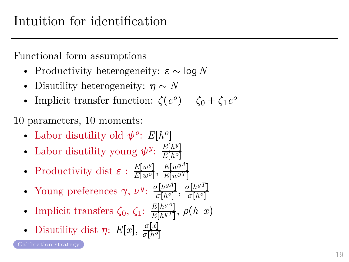<span id="page-28-0"></span>Functional form assumptions

- Productivity heterogeneity:  $\varepsilon \sim \log N$
- Disutility heterogeneity:  $\eta \sim N$
- Implicit transfer function:  $\zeta(c^o) = \zeta_0 + \zeta_1 c^o$

10 parameters, 10 moments:

- Labor disutility old  $\psi$ <sup>o</sup>:  $E[h^o]$
- Labor disutility young  $\psi^y$ :  $\frac{E[h^y]}{E[h^o]}$ *E* [ *h o* ]
- Productivity dist  $\varepsilon$  :  $\frac{E[w^y]}{E[w^o]}$  $\frac{E[w^y]}{E[w^o]}, \frac{E[w^{yA}]}{E[w^{yT}]}$  $E[w^y]$
- Young preferences  $\gamma$ ,  $\nu^y$ :  $\frac{\sigma[h^{yA}]}{\sigma[h^o]}$  $\frac{\sigma[h^{yA}]}{\sigma[h^o]}, \frac{\sigma[h^{yT}]}{\sigma[h^o]}$  $\overline{\sigma[h^o]}$
- Implicit transfers  $\zeta_0, \zeta_1$ :  $\frac{E[h^{yA}]}{E[h^{yT}]}$  $\frac{E[h^{yr}]}{E[h^{yT}]}, \rho(h, x)$
- Disutility dist  $\eta$ :  $E[x]$ ,  $\frac{\sigma[x]}{\sigma^{h\rho}}$  $\overline{\sigma[h^o]}$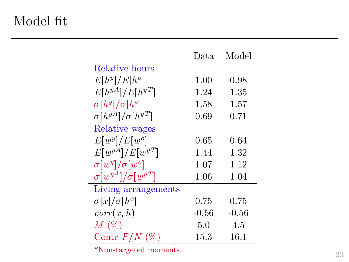## Model fit

|                                 | Data.    | Model    |
|---------------------------------|----------|----------|
| Relative hours                  |          |          |
| $E[h^y]/E[h^o]$                 | 1.00     | 0.98     |
| $E[h^{yA}]/E[h^{yT}]$           | 1.24     | 1.35     |
| $\sigma[h^y]/\sigma[h^o]$       | 1.58     | 1.57     |
| $\sigma[h^{yA}]/\sigma[h^{yT}]$ | 0.69     | 0.71     |
| Relative wages                  |          |          |
| $E[w^y]/E[w^o]$                 | $0.65\,$ | 0.64     |
| $E[w^{yA}]/E[w^{yT}]$           | 1.44     | 1.32     |
| $\sigma[w^y]/\sigma[w^o]$       | 1.07     | 1.12     |
| $\sigma[w^{yA}]/\sigma[w^{yT}]$ | 1.06     | 1.04     |
| Living arrangements             |          |          |
| $\sigma[x]/\sigma[h^o]$         | 0.75     | 0.75     |
| corr(x, h)                      | $-0.56$  | $-0.56$  |
| $M(\%)$                         | 5.0      | 4.5      |
| Contr $F/N$ (%)                 | $15.3\,$ | $16.1\,$ |

 $^*$  Non-targeted moments.  $20\,$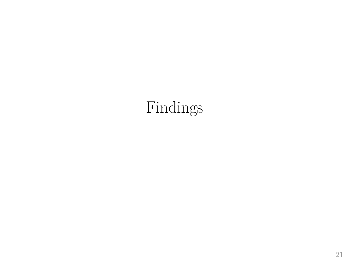# Findings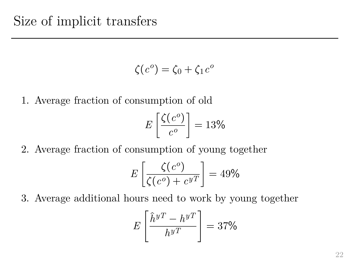$$
\zeta(c^o) = \zeta_0 + \zeta_1 c^o
$$

1. Average fraction of consumption of old

$$
E\left[\frac{\zeta(c^o)}{c^o}\right] = 13\%
$$

2. Average fraction of consumption of young together

$$
E\left[\frac{\zeta(c^o)}{\zeta(c^o) + c^{yT}}\right] = 49\%
$$

3. Average additional hours need to work by young together

$$
E\left[\frac{\hat{h}^{yT} - h^{yT}}{h^{yT}}\right] = 37\%
$$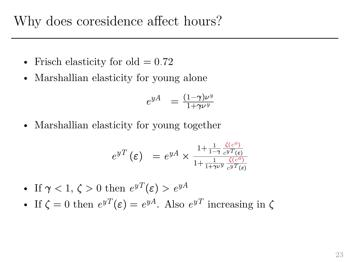Why does coresidence affect hours?

- Frisch elasticity for old  $= 0.72$
- Marshallian elasticity for young alone

$$
e^{yA} = \frac{(1-\gamma)\nu^y}{1+\gamma\nu^y}
$$

• Marshallian elasticity for young together

$$
e^{yT}\left(\varepsilon\right) \ = \ e^{yA}\times\frac{1+\frac{1}{1-\gamma}\frac{\zeta\left(c^{\scriptscriptstyle O}\right)}{c^{yT}\left(\varepsilon\right)}}{1+\frac{1}{1+\gamma\nu^{y}}\frac{\zeta\left(c^{\scriptscriptstyle O}\right)}{c^{yT}\left(\varepsilon\right)}}
$$

- If  $\gamma < 1, \zeta > 0$  then  $e^{yT}(\varepsilon) > e^{yA}$
- If  $\zeta = 0$  then  $e^{yT}(\varepsilon) = e^{yA}$ . Also  $e^{yT}$  increasing in  $\zeta$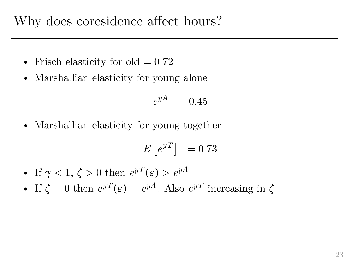Why does coresidence affect hours?

- Frisch elasticity for old  $= 0.72$
- Marshallian elasticity for young alone

$$
e^{yA} = 0.45
$$

• Marshallian elasticity for young together

$$
E\left[e^{yT}\right] = 0.73
$$

- If  $\gamma < 1, \zeta > 0$  then  $e^{yT}(\varepsilon) > e^{yA}$
- If  $\zeta = 0$  then  $e^{yT}(\varepsilon) = e^{yA}$ . Also  $e^{yT}$  increasing in  $\zeta$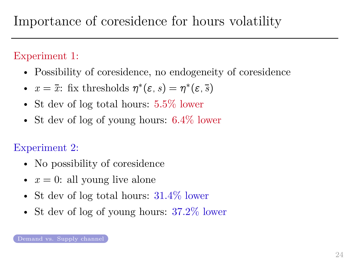#### <span id="page-34-0"></span>Experiment 1:

- Possibility of coresidence, no endogeneity of coresidence
- $x = \bar{x}$ : fix thresholds  $\eta^*(\varepsilon, s) = \eta^*(\varepsilon, \bar{s})$
- St dev of log total hours:  $5.5\%$  lower
- St dev of log of young hours:  $6.4\%$  lower

### Experiment 2:

- No possibility of coresidence
- $x = 0$ : all young live alone
- St dev of log total hours:  $31.4\%$  lower
- St dev of log of young hours:  $37.2\%$  lower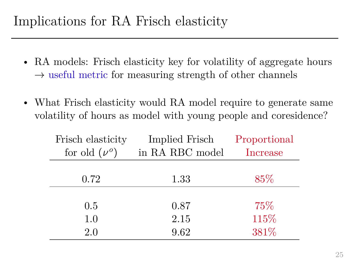## Implications for RA Frisch elasticity

- RA models: Frisch elasticity key for volatility of aggregate hours  $\rightarrow$  useful metric for measuring strength of other channels
- What Frisch elasticity would RA model require to generate same volatility of hours as model with young people and coresidence?

| Frisch elasticity | Implied Frisch  | Proportional |
|-------------------|-----------------|--------------|
| for old $(\nu^o)$ | in RA RBC model | Increase     |
|                   |                 |              |
| 0.72              | 1.33            | 85\%         |
|                   |                 |              |
| 0.5               | 0.87            | 75\%         |
| 1.0               | 2.15            | 115%         |
| 2.0               | 9.62            | 381%         |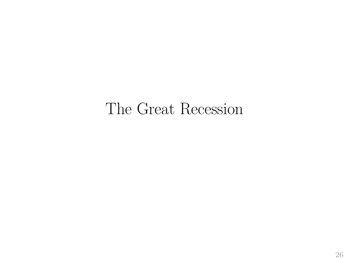# The Great Recession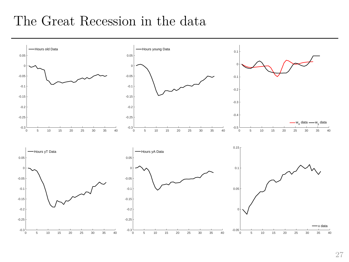## The Great Recession in the data

<span id="page-37-0"></span>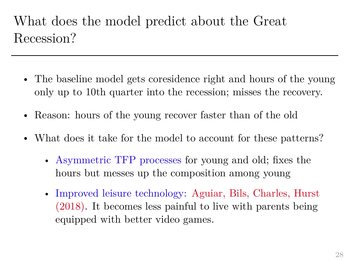# What does the model predict about the Great Recession?

- The baseline model gets coresidence right and hours of the young only up to 10th quarter into the recession; misses the recovery.
- Reason: hours of the young recover faster than of the old
- What does it take for the model to account for these patterns?
	- Asymmetric TFP processes for young and old; fixes the hours but messes up the composition among young
	- Improved leisure technology: Aguiar, Bils, Charles, Hurst (2018). It becomes less painful to live with parents being equipped with better video games.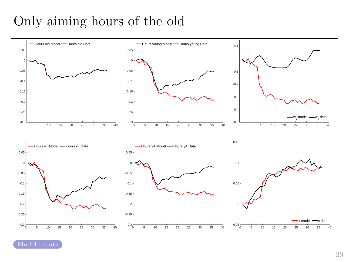## Only aiming hours of the old

<span id="page-39-0"></span>

[Model inputs](#page-43-0)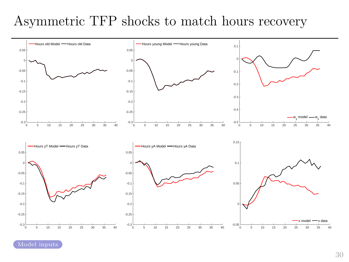## Asymmetric TFP shocks to match hours recovery

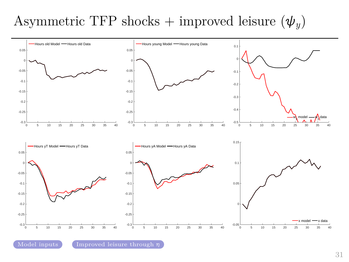## Asymmetric TFP shocks + improved leisure  $(\psi_y)$

<span id="page-41-0"></span>

[Model inputs](#page-46-0)  $\left( \begin{array}{c} \text{Improved} \end{array} \right)$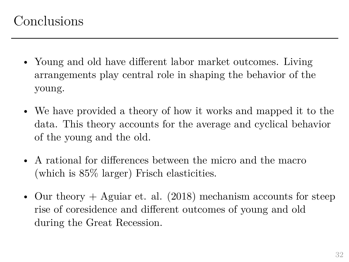## Conclusions

- Young and old have different labor market outcomes. Living arrangements play central role in shaping the behavior of the young.
- We have provided a theory of how it works and mapped it to the data. This theory accounts for the average and cyclical behavior of the young and the old.
- A rational for differences between the micro and the macro (which is 85% larger) Frisch elasticities.
- Our theory  $+$  Aguiar et. al. (2018) mechanism accounts for steep rise of coresidence and different outcomes of young and old during the Great Recession.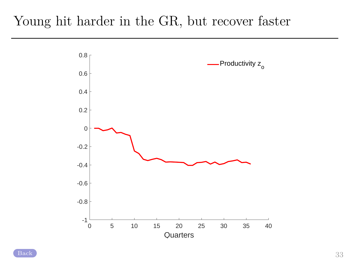<span id="page-43-0"></span>

 $Back$  33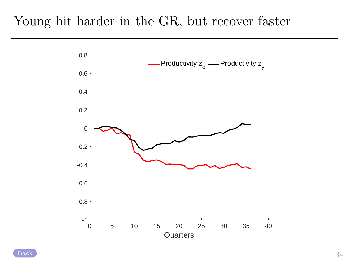<span id="page-44-0"></span>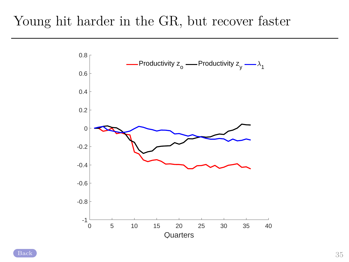<span id="page-45-0"></span>

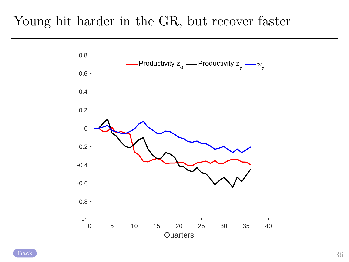<span id="page-46-0"></span>

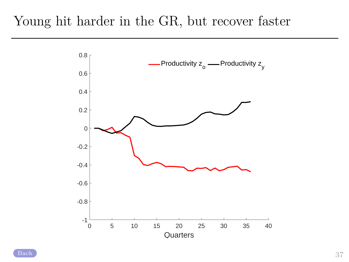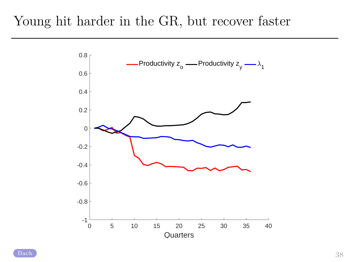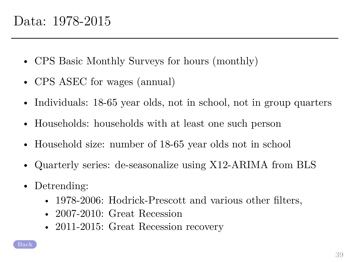- <span id="page-49-0"></span>• CPS Basic Monthly Surveys for hours (monthly)
- CPS ASEC for wages (annual)
- Individuals: 18-65 year olds, not in school, not in group quarters
- Households: households with at least one such person
- Household size: number of 18-65 year olds not in school
- Quarterly series: de-seasonalize using X12-ARIMA from BLS
- Detrending:
	- 1978-2006: Hodrick-Prescott and various other filters,
	- 2007-2010: Great Recession
	- 2011-2015: Great Recession recovery

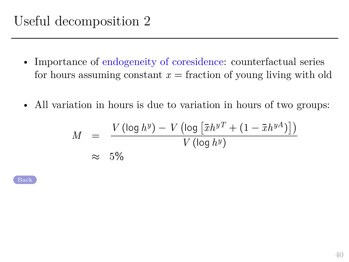- <span id="page-50-0"></span>• Importance of endogeneity of coresidence: counterfactual series for hours assuming constant  $x =$  fraction of young living with old
- All variation in hours is due to variation in hours of two groups:

$$
M = \frac{V(\log h^{y}) - V(\log [\bar{x}h^{yT} + (1 - \bar{x}h^{yA})])}{V(\log h^{y})}
$$
  
\n
$$
\approx 5\%
$$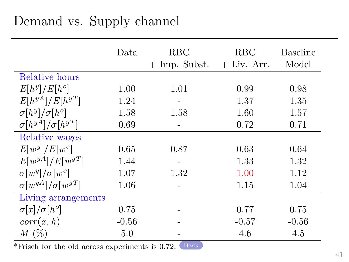## Demand vs. Supply channel

<span id="page-51-0"></span>

|                                 | Data.   | <b>RBC</b>      | <b>RBC</b>    | Baseline |
|---------------------------------|---------|-----------------|---------------|----------|
|                                 |         | $+$ Imp. Subst. | $+$ Liv. Arr. | Model    |
| Relative hours                  |         |                 |               |          |
| $E[h^y]/E[h^o]$                 | 1.00    | 1.01            | 0.99          | 0.98     |
| $E[h^{yA}]/E[h^{yT}]$           | 1.24    |                 | 1.37          | 1.35     |
| $\sigma[h^y]/\sigma[h^o]$       | 1.58    | 1.58            | 1.60          | 1.57     |
| $\sigma[h^{yA}]/\sigma[h^{yT}]$ | 0.69    |                 | 0.72          | 0.71     |
| Relative wages                  |         |                 |               |          |
| $E[w^y]/E[w^o]$                 | 0.65    | 0.87            | 0.63          | 0.64     |
| $E[w^{yA}]/E[w^{yT}]$           | 1.44    |                 | 1.33          | 1.32     |
| $\sigma[w^y]/\sigma[w^o]$       | 1.07    | 1.32            | 1.00          | 1.12     |
| $\sigma[w^{yA}]/\sigma[w^{yT}]$ | 1.06    |                 | 1.15          | 1.04     |
| Living arrangements             |         |                 |               |          |
| $\sigma[x]/\sigma[h^o]$         | 0.75    |                 | 0.77          | 0.75     |
| corr(x, h)                      | $-0.56$ |                 | $-0.57$       | $-0.56$  |
| $M(\%)$                         | 5.0     |                 | 4.6           | 4.5      |

\*Frisch for the old across experiments is  $0.72$ . [Back](#page-34-0)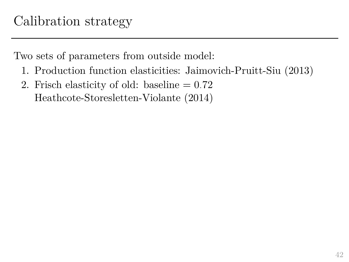<span id="page-52-0"></span>Two sets of parameters from outside model:

- 1. Production function elasticities: Jaimovich-Pruitt-Siu (2013)
- 2. Frisch elasticity of old: baseline  $= 0.72$ Heathcote-Storesletten-Violante (2014)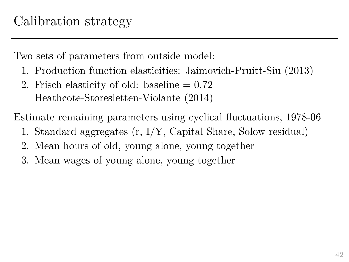Two sets of parameters from outside model:

- 1. Production function elasticities: Jaimovich-Pruitt-Siu (2013)
- 2. Frisch elasticity of old: baseline  $= 0.72$ Heathcote-Storesletten-Violante (2014)

Estimate remaining parameters using cyclical fluctuations, 1978-06

- 1. Standard aggregates (r, I/Y, Capital Share, Solow residual)
- 2. Mean hours of old, young alone, young together
- 3. Mean wages of young alone, young together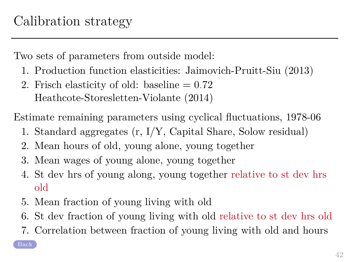Two sets of parameters from outside model:

- 1. Production function elasticities: Jaimovich-Pruitt-Siu (2013)
- 2. Frisch elasticity of old: baseline  $= 0.72$ Heathcote-Storesletten-Violante (2014)

Estimate remaining parameters using cyclical fluctuations, 1978-06

- 1. Standard aggregates (r, I/Y, Capital Share, Solow residual)
- 2. Mean hours of old, young alone, young together
- 3. Mean wages of young alone, young together
- 4. St dev hrs of young along, young together relative to st dev hrs old
- 5. Mean fraction of young living with old
- 6. St dev fraction of young living with old relative to st dev hrs old
- 7. Correlation between fraction of young living with old and hours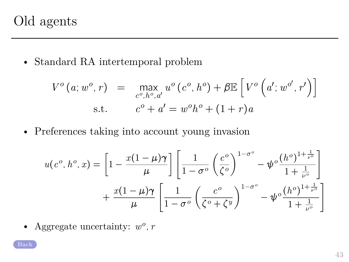## Old agents

<span id="page-55-0"></span>• Standard RA intertemporal problem

$$
V^{o}(a; w^{o}, r) = \max_{c^{o}, h^{o}, a'} u^{o}(c^{o}, h^{o}) + \beta \mathbb{E} \left[ V^{o}(a'; w^{o'}, r') \right]
$$
  
s.t. 
$$
c^{o} + a' = w^{o}h^{o} + (1 + r)a
$$

• Preferences taking into account young invasion

$$
u(c^o, h^o, x) = \left[1 - \frac{x(1-\mu)\gamma}{\mu}\right] \left[\frac{1}{1-\sigma^o} \left(\frac{c^o}{\zeta^o}\right)^{1-\sigma^o} - \psi^o \frac{(h^o)^{1+\frac{1}{\nu^o}}}{1+\frac{1}{\nu^o}}\right] + \frac{x(1-\mu)\gamma}{\mu} \left[\frac{1}{1-\sigma^o} \left(\frac{c^o}{\zeta^o + \zeta^y}\right)^{1-\sigma^o} - \psi^o \frac{(h^o)^{1+\frac{1}{\nu^o}}}{1+\frac{1}{\nu^o}}\right]
$$

• Aggregate uncertainty:  $w^o$ ,  $r$